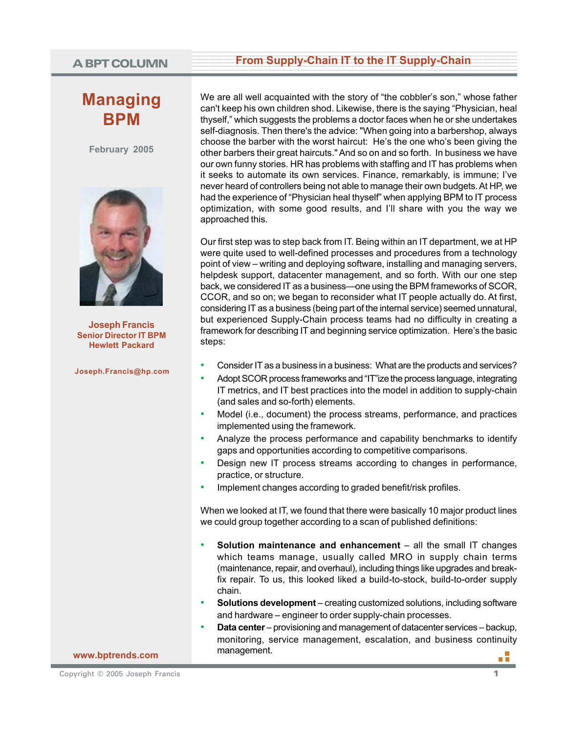# **Managing BPM**

**February 2005**



**Joseph Francis Senior Director IT BPM Hewlett Packard**

**Joseph.Francis@hp.com**

# A BPT COLUMN From Supply-Chain IT to the IT Supply-Chain

We are all well acquainted with the story of "the cobbler's son," whose father can't keep his own children shod. Likewise, there is the saying "Physician, heal thyself," which suggests the problems a doctor faces when he or she undertakes self-diagnosis. Then there's the advice: "When going into a barbershop, always choose the barber with the worst haircut: He's the one who's been giving the other barbers their great haircuts." And so on and so forth. In business we have our own funny stories. HR has problems with staffing and IT has problems when it seeks to automate its own services. Finance, remarkably, is immune; I've never heard of controllers being not able to manage their own budgets. At HP, we had the experience of "Physician heal thyself" when applying BPM to IT process optimization, with some good results, and I'll share with you the way we approached this.

Our first step was to step back from IT. Being within an IT department, we at HP were quite used to well-defined processes and procedures from a technology point of view – writing and deploying software, installing and managing servers, helpdesk support, datacenter management, and so forth. With our one step back, we considered IT as a business—one using the BPM frameworks of SCOR, CCOR, and so on; we began to reconsider what IT people actually do. At first, considering IT as a business (being part of the internal service) seemed unnatural, but experienced Supply-Chain process teams had no difficulty in creating a framework for describing IT and beginning service optimization. Here's the basic steps:

- Consider IT as a business in a business: What are the products and services?
- Adopt SCOR process frameworks and "IT"ize the process language, integrating IT metrics, and IT best practices into the model in addition to supply-chain (and sales and so-forth) elements.
- Model (i.e., document) the process streams, performance, and practices implemented using the framework.
- Analyze the process performance and capability benchmarks to identify gaps and opportunities according to competitive comparisons.
- Design new IT process streams according to changes in performance, practice, or structure.
- Implement changes according to graded benefit/risk profiles.

When we looked at IT, we found that there were basically 10 major product lines we could group together according to a scan of published definitions:

- **Solution maintenance and enhancement** all the small IT changes which teams manage, usually called MRO in supply chain terms (maintenance, repair, and overhaul), including things like upgrades and breakfix repair. To us, this looked liked a build-to-stock, build-to-order supply chain.
- **Solutions development** creating customized solutions, including software and hardware – engineer to order supply-chain processes.
- **Data center** provisioning and management of datacenter services backup, monitoring, service management, escalation, and business continuity management.

**www.bptrends.com**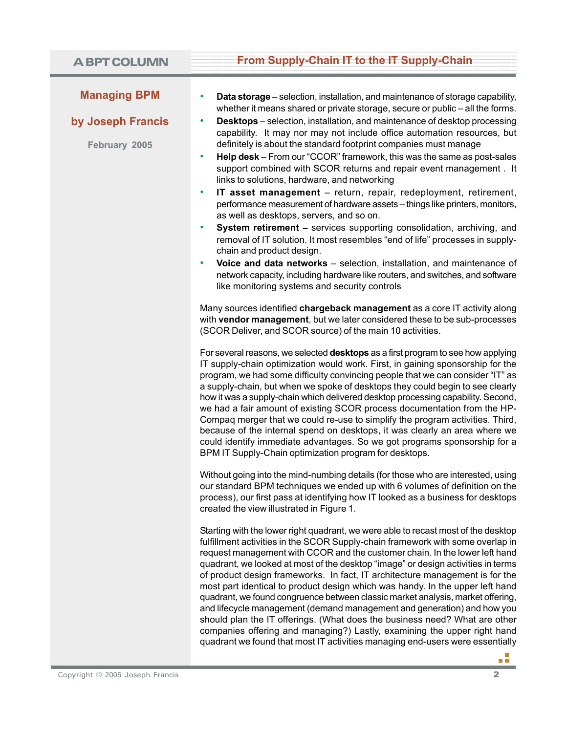# **Example 15 From Supply-Chain IT to the IT Supply-Chain**

#### **Managing BPM**

## **by Joseph Francis**

**February 2005**

- **Data storage** selection, installation, and maintenance of storage capability, whether it means shared or private storage, secure or public – all the forms.
- **Desktops** selection, installation, and maintenance of desktop processing capability. It may nor may not include office automation resources, but definitely is about the standard footprint companies must manage
- **Help desk** From our "CCOR" framework, this was the same as post-sales support combined with SCOR returns and repair event management . It links to solutions, hardware, and networking
- **IT asset management** return, repair, redeployment, retirement, performance measurement of hardware assets – things like printers, monitors, as well as desktops, servers, and so on.
- **System retirement –** services supporting consolidation, archiving, and removal of IT solution. It most resembles "end of life" processes in supplychain and product design.
- **Voice and data networks** selection, installation, and maintenance of network capacity, including hardware like routers, and switches, and software like monitoring systems and security controls

Many sources identified **chargeback management** as a core IT activity along with **vendor management**, but we later considered these to be sub-processes (SCOR Deliver, and SCOR source) of the main 10 activities.

For several reasons, we selected **desktops** as a first program to see how applying IT supply-chain optimization would work. First, in gaining sponsorship for the program, we had some difficulty convincing people that we can consider "IT" as a supply-chain, but when we spoke of desktops they could begin to see clearly how it was a supply-chain which delivered desktop processing capability. Second, we had a fair amount of existing SCOR process documentation from the HP-Compaq merger that we could re-use to simplify the program activities. Third, because of the internal spend on desktops, it was clearly an area where we could identify immediate advantages. So we got programs sponsorship for a BPM IT Supply-Chain optimization program for desktops.

Without going into the mind-numbing details (for those who are interested, using our standard BPM techniques we ended up with 6 volumes of definition on the process), our first pass at identifying how IT looked as a business for desktops created the view illustrated in Figure 1.

Starting with the lower right quadrant, we were able to recast most of the desktop fulfillment activities in the SCOR Supply-chain framework with some overlap in request management with CCOR and the customer chain. In the lower left hand quadrant, we looked at most of the desktop "image" or design activities in terms of product design frameworks. In fact, IT architecture management is for the most part identical to product design which was handy. In the upper left hand quadrant, we found congruence between classic market analysis, market offering, and lifecycle management (demand management and generation) and how you should plan the IT offerings. (What does the business need? What are other companies offering and managing?) Lastly, examining the upper right hand quadrant we found that most IT activities managing end-users were essentially

пñ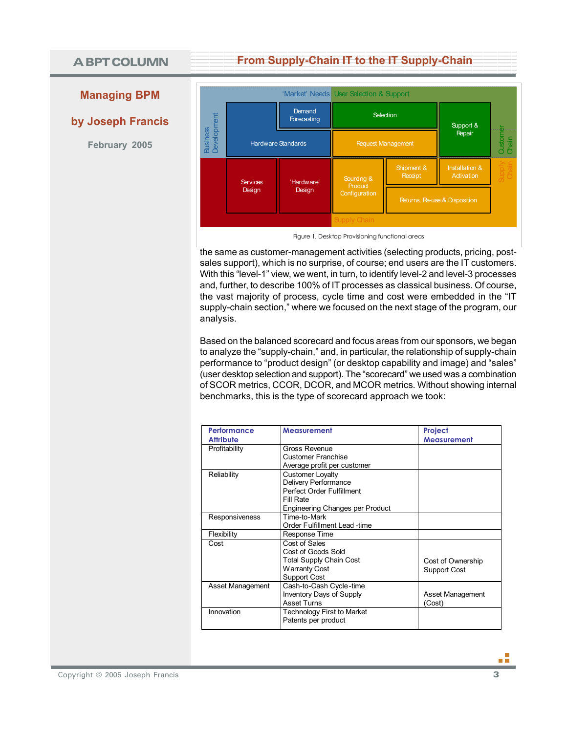# **A BPT COLUMN**

# **Example 15 From Supply-Chain IT to the IT Supply-Chain**

# **Managing BPM**

**by Joseph Francis**

**February 2005**



the same as customer-management activities (selecting products, pricing, postsales support), which is no surprise, of course; end users are the IT customers. With this "level-1" view, we went, in turn, to identify level-2 and level-3 processes and, further, to describe 100% of IT processes as classical business. Of course, the vast majority of process, cycle time and cost were embedded in the "IT supply-chain section," where we focused on the next stage of the program, our analysis.

Based on the balanced scorecard and focus areas from our sponsors, we began to analyze the "supply-chain," and, in particular, the relationship of supply-chain performance to "product design" (or desktop capability and image) and "sales" (user desktop selection and support). The "scorecard" we used was a combination of SCOR metrics, CCOR, DCOR, and MCOR metrics. Without showing internal benchmarks, this is the type of scorecard approach we took:

| <b>Performance</b><br><b>Attribute</b> | <b>Measurement</b>                                                                                                           | Project<br><b>Measurement</b>     |
|----------------------------------------|------------------------------------------------------------------------------------------------------------------------------|-----------------------------------|
| Profitability                          | Gross Revenue<br><b>Customer Franchise</b><br>Average profit per customer                                                    |                                   |
| Reliability                            | <b>Customer Loyalty</b><br>Delivery Performance<br>Perfect Order Fulfillment<br>Fill Rate<br>Engineering Changes per Product |                                   |
| Responsiveness                         | Time-to-Mark<br>Order Fulfillment Lead -time                                                                                 |                                   |
| Flexibility                            | Response Time                                                                                                                |                                   |
| Cost                                   | Cost of Sales<br>Cost of Goods Sold<br>Total Supply Chain Cost<br>Warranty Cost<br>Support Cost                              | Cost of Ownership<br>Support Cost |
| Asset Management                       | Cash-to-Cash Cycle-time<br>Inventory Days of Supply<br><b>Asset Turns</b>                                                    | Asset Management<br>(Cost)        |
| Innovation                             | Technology First to Market<br>Patents per product                                                                            |                                   |

пĒ